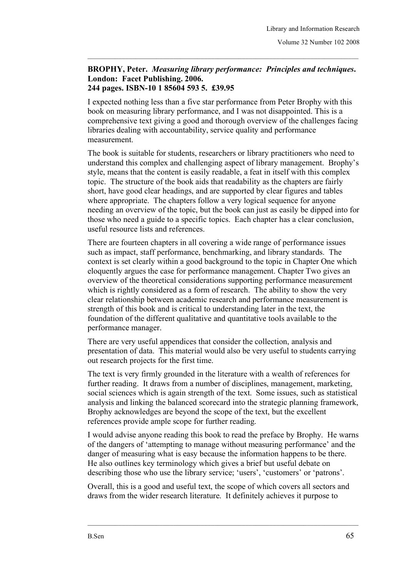## **BROPHY, Peter.** *Measuring library performance: Principles and techniques***. London: Facet Publishing. 2006. 244 pages. ISBN-10 1 85604 593 5. £39.95**

I expected nothing less than a five star performance from Peter Brophy with this book on measuring library performance, and I was not disappointed. This is a comprehensive text giving a good and thorough overview of the challenges facing libraries dealing with accountability, service quality and performance measurement.

The book is suitable for students, researchers or library practitioners who need to understand this complex and challenging aspect of library management. Brophy's style, means that the content is easily readable, a feat in itself with this complex topic. The structure of the book aids that readability as the chapters are fairly short, have good clear headings, and are supported by clear figures and tables where appropriate. The chapters follow a very logical sequence for anyone needing an overview of the topic, but the book can just as easily be dipped into for those who need a guide to a specific topics. Each chapter has a clear conclusion, useful resource lists and references.

There are fourteen chapters in all covering a wide range of performance issues such as impact, staff performance, benchmarking, and library standards. The context is set clearly within a good background to the topic in Chapter One which eloquently argues the case for performance management. Chapter Two gives an overview of the theoretical considerations supporting performance measurement which is rightly considered as a form of research. The ability to show the very clear relationship between academic research and performance measurement is strength of this book and is critical to understanding later in the text, the foundation of the different qualitative and quantitative tools available to the performance manager.

There are very useful appendices that consider the collection, analysis and presentation of data. This material would also be very useful to students carrying out research projects for the first time.

The text is very firmly grounded in the literature with a wealth of references for further reading. It draws from a number of disciplines, management, marketing, social sciences which is again strength of the text. Some issues, such as statistical analysis and linking the balanced scorecard into the strategic planning framework, Brophy acknowledges are beyond the scope of the text, but the excellent references provide ample scope for further reading.

I would advise anyone reading this book to read the preface by Brophy. He warns of the dangers of 'attempting to manage without measuring performance' and the danger of measuring what is easy because the information happens to be there. He also outlines key terminology which gives a brief but useful debate on describing those who use the library service; 'users', 'customers' or 'patrons'.

Overall, this is a good and useful text, the scope of which covers all sectors and draws from the wider research literature. It definitely achieves it purpose to